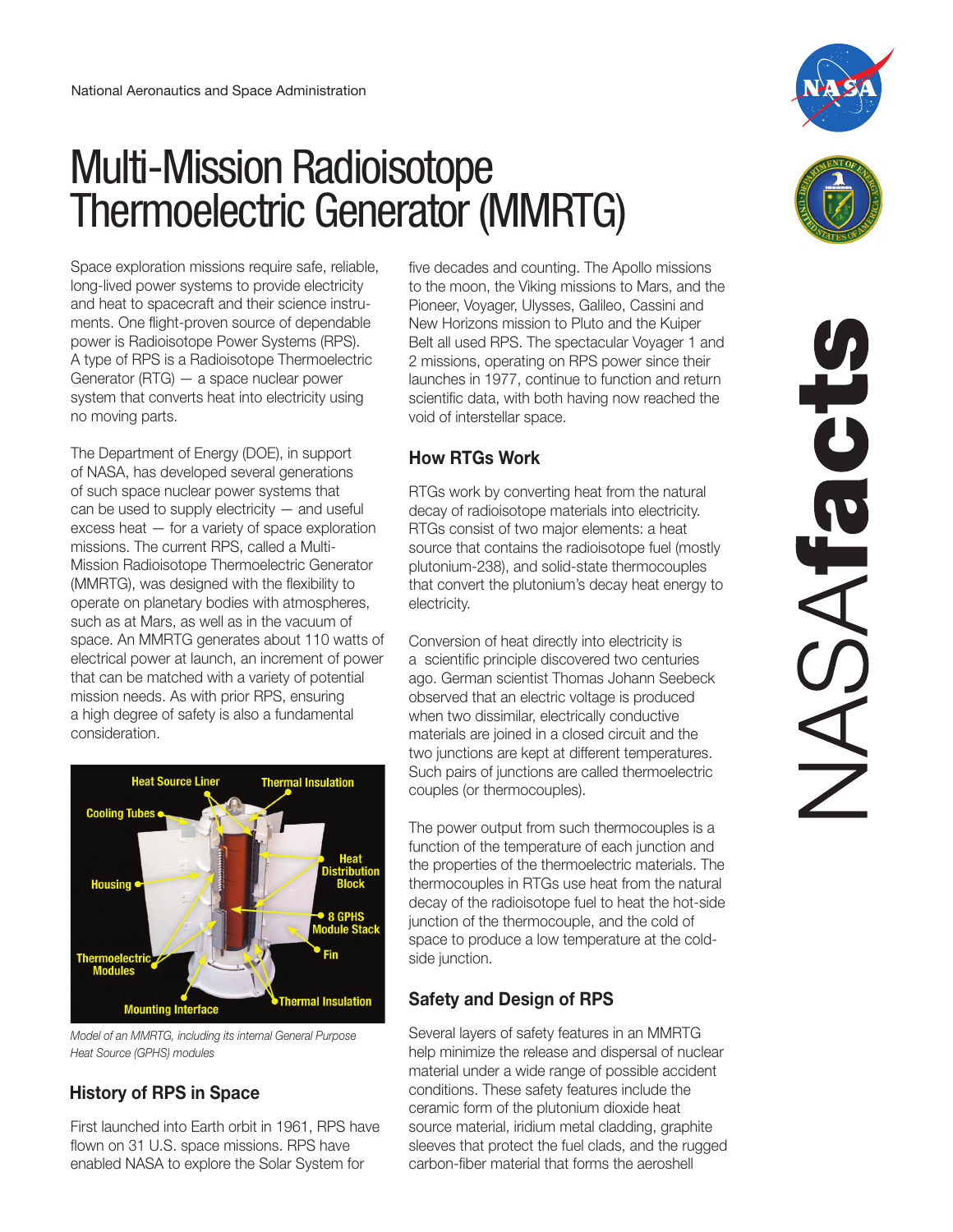# Multi-Mission Radioisotope Thermoelectric Generator (MMRTG)

Space exploration missions require safe, reliable, long-lived power systems to provide electricity and heat to spacecraft and their science instruments. One flight-proven source of dependable power is Radioisotope Power Systems (RPS). A type of RPS is a Radioisotope Thermoelectric Generator (RTG) — a space nuclear power system that converts heat into electricity using no moving parts.

The Department of Energy (DOE), in support of NASA, has developed several generations of such space nuclear power systems that can be used to supply electricity — and useful excess heat — for a variety of space exploration missions. The current RPS, called a Multi-Mission Radioisotope Thermoelectric Generator (MMRTG), was designed with the flexibility to operate on planetary bodies with atmospheres, such as at Mars, as well as in the vacuum of space. An MMRTG generates about 110 watts of electrical power at launch, an increment of power that can be matched with a variety of potential mission needs. As with prior RPS, ensuring a high degree of safety is also a fundamental consideration.



*Model of an MMRTG, including its internal General Purpose Heat Source (GPHS) modules*

# **History of RPS in Space**

First launched into Earth orbit in 1961, RPS have flown on 31 U.S. space missions. RPS have enabled NASA to explore the Solar System for

five decades and counting. The Apollo missions to the moon, the Viking missions to Mars, and the Pioneer, Voyager, Ulysses, Galileo, Cassini and New Horizons mission to Pluto and the Kuiper Belt all used RPS. The spectacular Voyager 1 and 2 missions, operating on RPS power since their launches in 1977, continue to function and return scientific data, with both having now reached the void of interstellar space.

### **How RTGs Work**

RTGs work by converting heat from the natural decay of radioisotope materials into electricity. RTGs consist of two major elements: a heat source that contains the radioisotope fuel (mostly plutonium-238), and solid-state thermocouples that convert the plutonium's decay heat energy to electricity.

Conversion of heat directly into electricity is a scientific principle discovered two centuries ago. German scientist Thomas Johann Seebeck observed that an electric voltage is produced when two dissimilar, electrically conductive materials are joined in a closed circuit and the two junctions are kept at different temperatures. Such pairs of junctions are called thermoelectric couples (or thermocouples).

The power output from such thermocouples is a function of the temperature of each junction and the properties of the thermoelectric materials. The thermocouples in RTGs use heat from the natural decay of the radioisotope fuel to heat the hot-side junction of the thermocouple, and the cold of space to produce a low temperature at the coldside junction.

# **Safety and Design of RPS**

Several layers of safety features in an MMRTG help minimize the release and dispersal of nuclear material under a wide range of possible accident conditions. These safety features include the ceramic form of the plutonium dioxide heat source material, iridium metal cladding, graphite sleeves that protect the fuel clads, and the rugged carbon-fiber material that forms the aeroshell